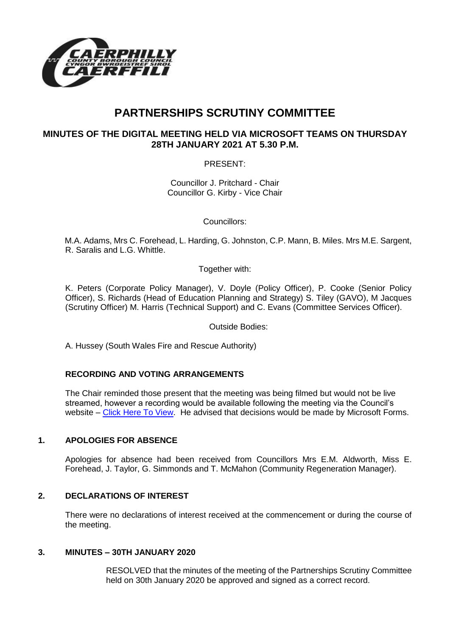

# **PARTNERSHIPS SCRUTINY COMMITTEE**

# **MINUTES OF THE DIGITAL MEETING HELD VIA MICROSOFT TEAMS ON THURSDAY 28TH JANUARY 2021 AT 5.30 P.M.**

PRESENT:

Councillor J. Pritchard - Chair Councillor G. Kirby - Vice Chair

Councillors:

M.A. Adams, Mrs C. Forehead, L. Harding, G. Johnston, C.P. Mann, B. Miles. Mrs M.E. Sargent, R. Saralis and L.G. Whittle.

Together with:

K. Peters (Corporate Policy Manager), V. Doyle (Policy Officer), P. Cooke (Senior Policy Officer), S. Richards (Head of Education Planning and Strategy) S. Tiley (GAVO), M Jacques (Scrutiny Officer) M. Harris (Technical Support) and C. Evans (Committee Services Officer).

Outside Bodies:

A. Hussey (South Wales Fire and Rescue Authority)

## **RECORDING AND VOTING ARRANGEMENTS**

The Chair reminded those present that the meeting was being filmed but would not be live streamed, however a recording would be available following the meeting via the Council's website – [Click Here To View.](https://youtu.be/UeyFdszOtdA) He advised that decisions would be made by Microsoft Forms.

## **1. APOLOGIES FOR ABSENCE**

Apologies for absence had been received from Councillors Mrs E.M. Aldworth, Miss E. Forehead, J. Taylor, G. Simmonds and T. McMahon (Community Regeneration Manager).

## **2. DECLARATIONS OF INTEREST**

There were no declarations of interest received at the commencement or during the course of the meeting.

#### **3. MINUTES – 30TH JANUARY 2020**

RESOLVED that the minutes of the meeting of the Partnerships Scrutiny Committee held on 30th January 2020 be approved and signed as a correct record.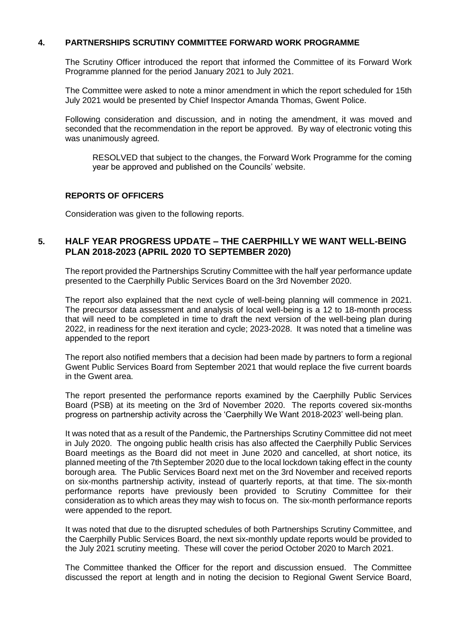#### **4. PARTNERSHIPS SCRUTINY COMMITTEE FORWARD WORK PROGRAMME**

The Scrutiny Officer introduced the report that informed the Committee of its Forward Work Programme planned for the period January 2021 to July 2021.

The Committee were asked to note a minor amendment in which the report scheduled for 15th July 2021 would be presented by Chief Inspector Amanda Thomas, Gwent Police.

Following consideration and discussion, and in noting the amendment, it was moved and seconded that the recommendation in the report be approved. By way of electronic voting this was unanimously agreed.

RESOLVED that subject to the changes, the Forward Work Programme for the coming year be approved and published on the Councils' website.

#### **REPORTS OF OFFICERS**

Consideration was given to the following reports.

## **5. HALF YEAR PROGRESS UPDATE – THE CAERPHILLY WE WANT WELL-BEING PLAN 2018-2023 (APRIL 2020 TO SEPTEMBER 2020)**

The report provided the Partnerships Scrutiny Committee with the half year performance update presented to the Caerphilly Public Services Board on the 3rd November 2020.

The report also explained that the next cycle of well-being planning will commence in 2021. The precursor data assessment and analysis of local well-being is a 12 to 18-month process that will need to be completed in time to draft the next version of the well-being plan during 2022, in readiness for the next iteration and cycle; 2023-2028. It was noted that a timeline was appended to the report

The report also notified members that a decision had been made by partners to form a regional Gwent Public Services Board from September 2021 that would replace the five current boards in the Gwent area.

The report presented the performance reports examined by the Caerphilly Public Services Board (PSB) at its meeting on the 3rd of November 2020. The reports covered six-months progress on partnership activity across the 'Caerphilly We Want 2018-2023' well-being plan.

It was noted that as a result of the Pandemic, the Partnerships Scrutiny Committee did not meet in July 2020. The ongoing public health crisis has also affected the Caerphilly Public Services Board meetings as the Board did not meet in June 2020 and cancelled, at short notice, its planned meeting of the 7thSeptember 2020 due to the local lockdown taking effect in the county borough area. The Public Services Board next met on the 3rd November and received reports on six-months partnership activity, instead of quarterly reports, at that time. The six-month performance reports have previously been provided to Scrutiny Committee for their consideration as to which areas they may wish to focus on. The six-month performance reports were appended to the report.

It was noted that due to the disrupted schedules of both Partnerships Scrutiny Committee, and the Caerphilly Public Services Board, the next six-monthly update reports would be provided to the July 2021 scrutiny meeting. These will cover the period October 2020 to March 2021.

The Committee thanked the Officer for the report and discussion ensued. The Committee discussed the report at length and in noting the decision to Regional Gwent Service Board,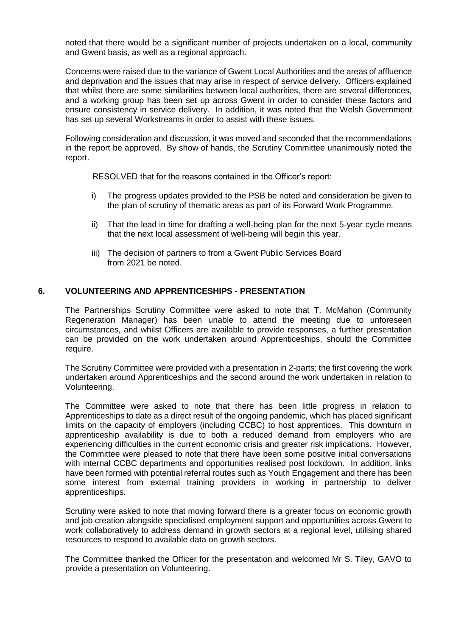noted that there would be a significant number of projects undertaken on a local, community and Gwent basis, as well as a regional approach.

Concerns were raised due to the variance of Gwent Local Authorities and the areas of affluence and deprivation and the issues that may arise in respect of service delivery. Officers explained that whilst there are some similarities between local authorities, there are several differences, and a working group has been set up across Gwent in order to consider these factors and ensure consistency in service delivery. In addition, it was noted that the Welsh Government has set up several Workstreams in order to assist with these issues.

Following consideration and discussion, it was moved and seconded that the recommendations in the report be approved. By show of hands, the Scrutiny Committee unanimously noted the report.

RESOLVED that for the reasons contained in the Officer's report:

- i) The progress updates provided to the PSB be noted and consideration be given to the plan of scrutiny of thematic areas as part of its Forward Work Programme.
- ii) That the lead in time for drafting a well-being plan for the next 5-year cycle means that the next local assessment of well-being will begin this year.
- iii) The decision of partners to from a Gwent Public Services Board from 2021 be noted.

#### **6. VOLUNTEERING AND APPRENTICESHIPS - PRESENTATION**

The Partnerships Scrutiny Committee were asked to note that T. McMahon (Community Regeneration Manager) has been unable to attend the meeting due to unforeseen circumstances, and whilst Officers are available to provide responses, a further presentation can be provided on the work undertaken around Apprenticeships, should the Committee require.

The Scrutiny Committee were provided with a presentation in 2-parts; the first covering the work undertaken around Apprenticeships and the second around the work undertaken in relation to Volunteering.

The Committee were asked to note that there has been little progress in relation to Apprenticeships to date as a direct result of the ongoing pandemic, which has placed significant limits on the capacity of employers (including CCBC) to host apprentices. This downturn in apprenticeship availability is due to both a reduced demand from employers who are experiencing difficulties in the current economic crisis and greater risk implications. However, the Committee were pleased to note that there have been some positive initial conversations with internal CCBC departments and opportunities realised post lockdown. In addition, links have been formed with potential referral routes such as Youth Engagement and there has been some interest from external training providers in working in partnership to deliver apprenticeships.

Scrutiny were asked to note that moving forward there is a greater focus on economic growth and job creation alongside specialised employment support and opportunities across Gwent to work collaboratively to address demand in growth sectors at a regional level, utilising shared resources to respond to available data on growth sectors.

The Committee thanked the Officer for the presentation and welcomed Mr S. Tiley, GAVO to provide a presentation on Volunteering.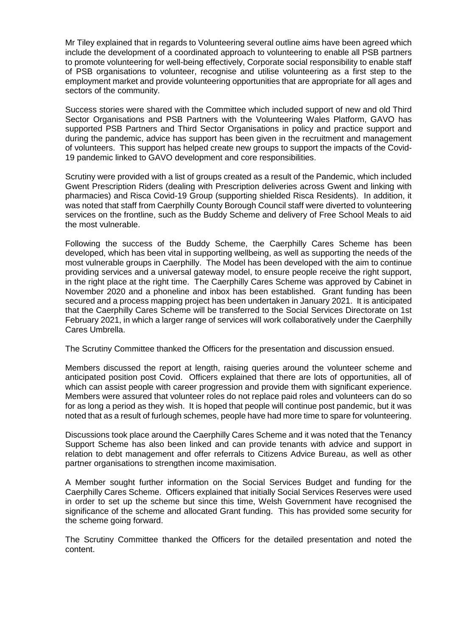Mr Tiley explained that in regards to Volunteering several outline aims have been agreed which include the development of a coordinated approach to volunteering to enable all PSB partners to promote volunteering for well-being effectively, Corporate social responsibility to enable staff of PSB organisations to volunteer, recognise and utilise volunteering as a first step to the employment market and provide volunteering opportunities that are appropriate for all ages and sectors of the community.

Success stories were shared with the Committee which included support of new and old Third Sector Organisations and PSB Partners with the Volunteering Wales Platform, GAVO has supported PSB Partners and Third Sector Organisations in policy and practice support and during the pandemic, advice has support has been given in the recruitment and management of volunteers. This support has helped create new groups to support the impacts of the Covid-19 pandemic linked to GAVO development and core responsibilities.

Scrutiny were provided with a list of groups created as a result of the Pandemic, which included Gwent Prescription Riders (dealing with Prescription deliveries across Gwent and linking with pharmacies) and Risca Covid-19 Group (supporting shielded Risca Residents). In addition, it was noted that staff from Caerphilly County Borough Council staff were diverted to volunteering services on the frontline, such as the Buddy Scheme and delivery of Free School Meals to aid the most vulnerable.

Following the success of the Buddy Scheme, the Caerphilly Cares Scheme has been developed, which has been vital in supporting wellbeing, as well as supporting the needs of the most vulnerable groups in Caerphilly. The Model has been developed with the aim to continue providing services and a universal gateway model, to ensure people receive the right support, in the right place at the right time. The Caerphilly Cares Scheme was approved by Cabinet in November 2020 and a phoneline and inbox has been established. Grant funding has been secured and a process mapping project has been undertaken in January 2021. It is anticipated that the Caerphilly Cares Scheme will be transferred to the Social Services Directorate on 1st February 2021, in which a larger range of services will work collaboratively under the Caerphilly Cares Umbrella.

The Scrutiny Committee thanked the Officers for the presentation and discussion ensued.

Members discussed the report at length, raising queries around the volunteer scheme and anticipated position post Covid. Officers explained that there are lots of opportunities, all of which can assist people with career progression and provide them with significant experience. Members were assured that volunteer roles do not replace paid roles and volunteers can do so for as long a period as they wish. It is hoped that people will continue post pandemic, but it was noted that as a result of furlough schemes, people have had more time to spare for volunteering.

Discussions took place around the Caerphilly Cares Scheme and it was noted that the Tenancy Support Scheme has also been linked and can provide tenants with advice and support in relation to debt management and offer referrals to Citizens Advice Bureau, as well as other partner organisations to strengthen income maximisation.

A Member sought further information on the Social Services Budget and funding for the Caerphilly Cares Scheme. Officers explained that initially Social Services Reserves were used in order to set up the scheme but since this time, Welsh Government have recognised the significance of the scheme and allocated Grant funding. This has provided some security for the scheme going forward.

The Scrutiny Committee thanked the Officers for the detailed presentation and noted the content.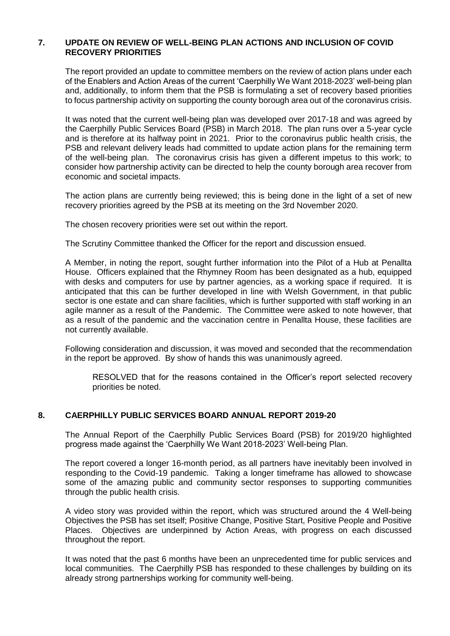#### **7. UPDATE ON REVIEW OF WELL-BEING PLAN ACTIONS AND INCLUSION OF COVID RECOVERY PRIORITIES**

The report provided an update to committee members on the review of action plans under each of the Enablers and Action Areas of the current 'Caerphilly We Want 2018-2023' well-being plan and, additionally, to inform them that the PSB is formulating a set of recovery based priorities to focus partnership activity on supporting the county borough area out of the coronavirus crisis.

It was noted that the current well-being plan was developed over 2017-18 and was agreed by the Caerphilly Public Services Board (PSB) in March 2018. The plan runs over a 5-year cycle and is therefore at its halfway point in 2021. Prior to the coronavirus public health crisis, the PSB and relevant delivery leads had committed to update action plans for the remaining term of the well-being plan. The coronavirus crisis has given a different impetus to this work; to consider how partnership activity can be directed to help the county borough area recover from economic and societal impacts.

The action plans are currently being reviewed; this is being done in the light of a set of new recovery priorities agreed by the PSB at its meeting on the 3rd November 2020.

The chosen recovery priorities were set out within the report.

The Scrutiny Committee thanked the Officer for the report and discussion ensued.

A Member, in noting the report, sought further information into the Pilot of a Hub at Penallta House. Officers explained that the Rhymney Room has been designated as a hub, equipped with desks and computers for use by partner agencies, as a working space if required. It is anticipated that this can be further developed in line with Welsh Government, in that public sector is one estate and can share facilities, which is further supported with staff working in an agile manner as a result of the Pandemic. The Committee were asked to note however, that as a result of the pandemic and the vaccination centre in Penallta House, these facilities are not currently available.

Following consideration and discussion, it was moved and seconded that the recommendation in the report be approved. By show of hands this was unanimously agreed.

RESOLVED that for the reasons contained in the Officer's report selected recovery priorities be noted.

#### **8. CAERPHILLY PUBLIC SERVICES BOARD ANNUAL REPORT 2019-20**

The Annual Report of the Caerphilly Public Services Board (PSB) for 2019/20 highlighted progress made against the 'Caerphilly We Want 2018-2023' Well-being Plan.

The report covered a longer 16-month period, as all partners have inevitably been involved in responding to the Covid-19 pandemic. Taking a longer timeframe has allowed to showcase some of the amazing public and community sector responses to supporting communities through the public health crisis.

A video story was provided within the report, which was structured around the 4 Well-being Objectives the PSB has set itself; Positive Change, Positive Start, Positive People and Positive Places. Objectives are underpinned by Action Areas, with progress on each discussed throughout the report.

It was noted that the past 6 months have been an unprecedented time for public services and local communities. The Caerphilly PSB has responded to these challenges by building on its already strong partnerships working for community well-being.